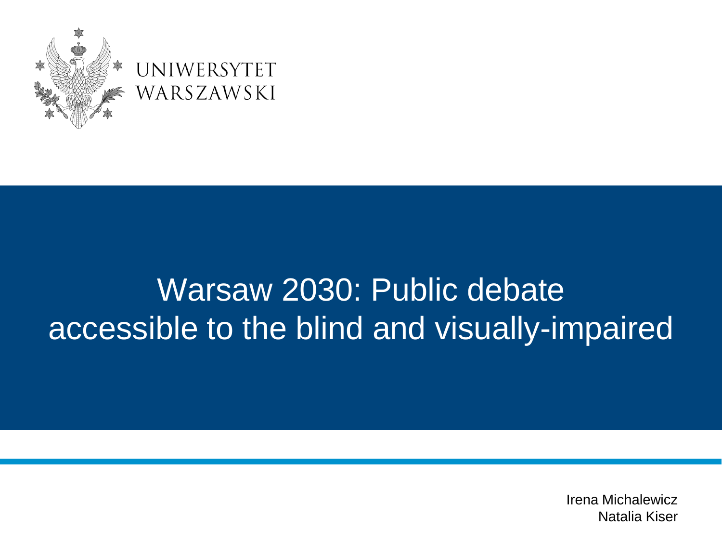

#### Warsaw 2030: Public debate accessible to the blind and visually-impaired

Irena Michalewicz Natalia Kiser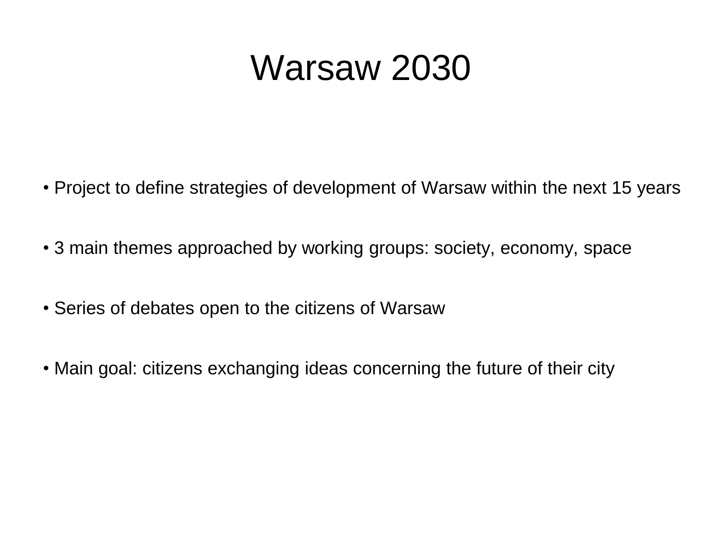#### Warsaw 2030

- Project to define strategies of development of Warsaw within the next 15 years
- 3 main themes approached by working groups: society, economy, space
- Series of debates open to the citizens of Warsaw
- Main goal: citizens exchanging ideas concerning the future of their city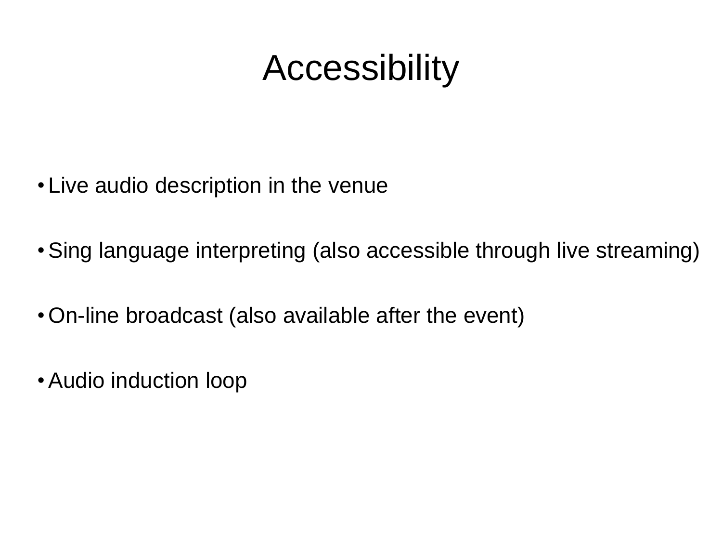# Accessibility

- Live audio description in the venue
- •Sing language interpreting (also accessible through live streaming)
- •On-line broadcast (also available after the event)
- •Audio induction loop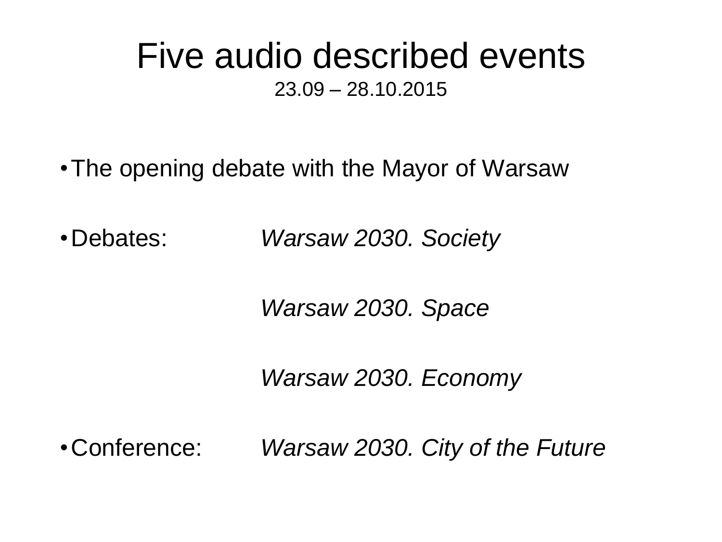#### Five audio described events 23.09 – 28.10.2015

•The opening debate with the Mayor of Warsaw

•Debates: *Warsaw 2030. Society*

*Warsaw 2030. Space*

*Warsaw 2030. Economy*

•Conference: *Warsaw 2030. City of the Future*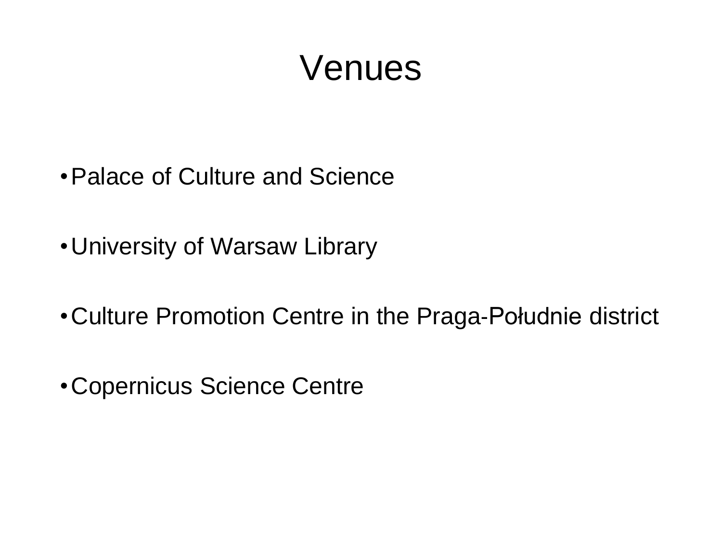#### Venues

- •Palace of Culture and Science
- •University of Warsaw Library
- •Culture Promotion Centre in the Praga‐Południe district
- •Copernicus Science Centre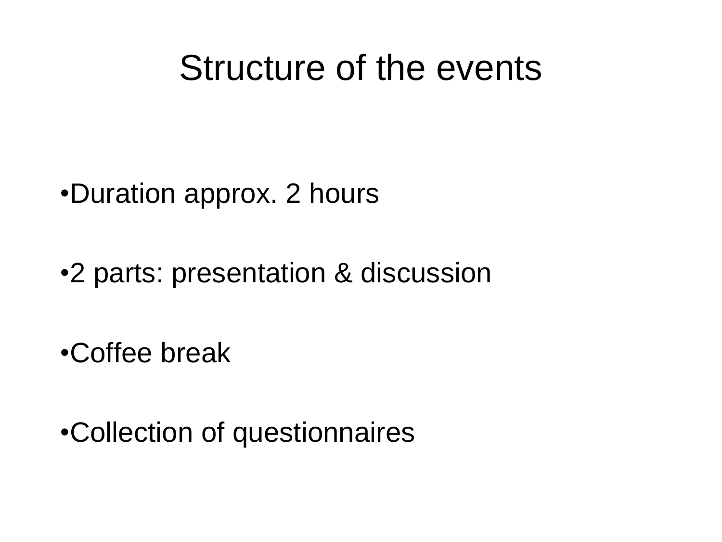#### Structure of the events

•Duration approx. 2 hours

•2 parts: presentation & discussion

•Coffee break

•Collection of questionnaires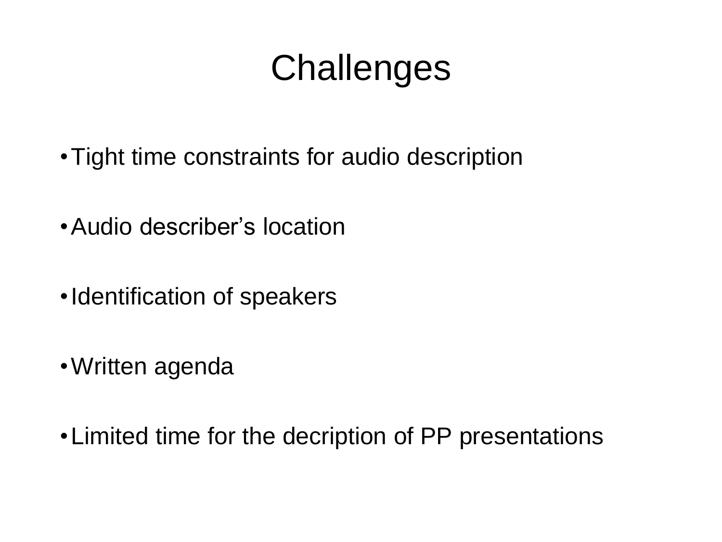# **Challenges**

- •Tight time constraints for audio description
- •Audio describer's location
- •Identification of speakers
- •Written agenda
- •Limited time for the decription of PP presentations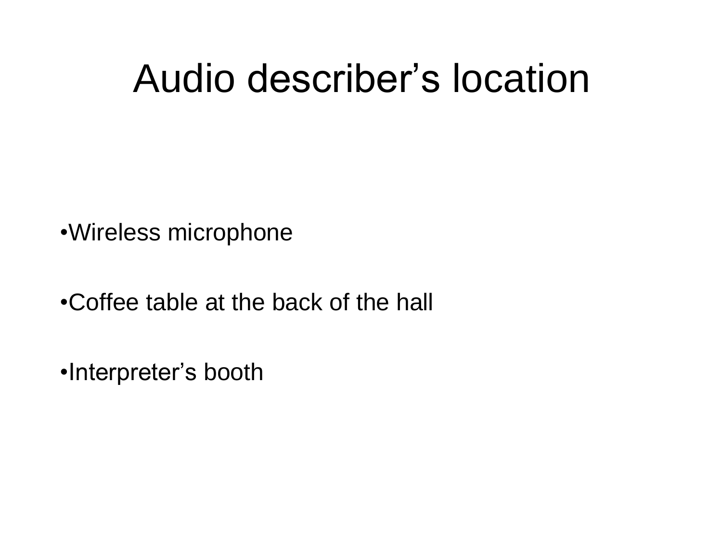# Audio describer's location

•Wireless microphone

•Coffee table at the back of the hall

•Interpreter's booth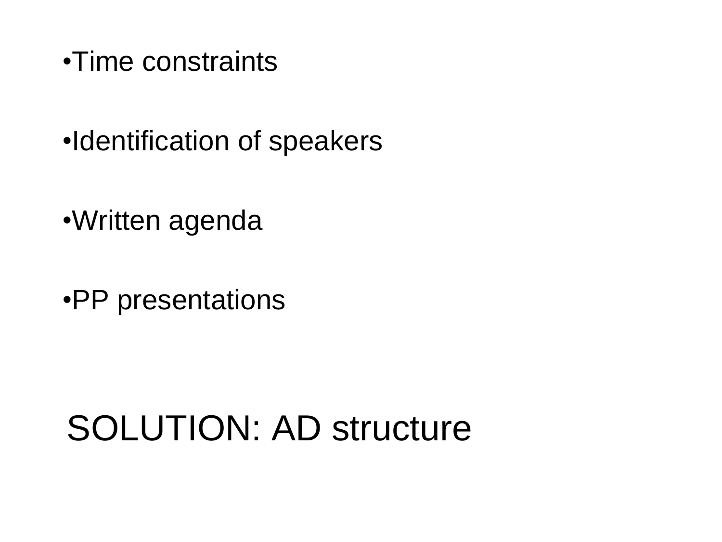- •Time constraints
- •Identification of speakers
- •Written agenda
- •PP presentations

### SOLUTION: AD structure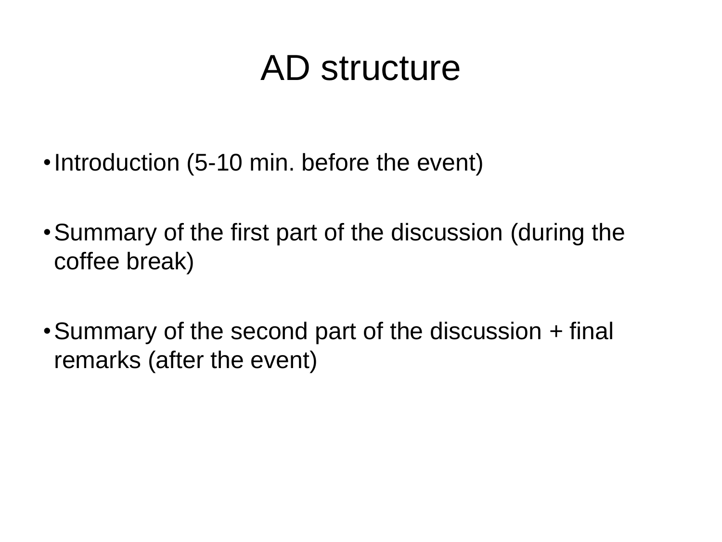### AD structure

- •Introduction (5-10 min. before the event)
- •Summary of the first part of the discussion (during the coffee break)
- •Summary of the second part of the discussion + final remarks (after the event)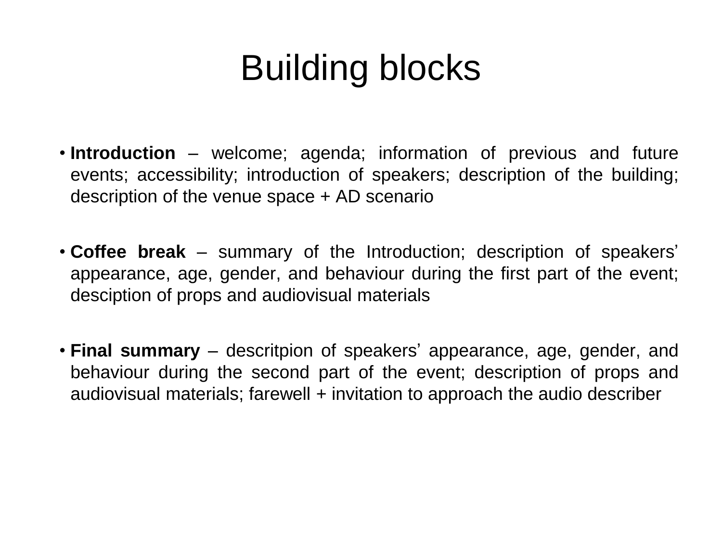# Building blocks

- **Introduction** welcome; agenda; information of previous and future events; accessibility; introduction of speakers; description of the building; description of the venue space + AD scenario
- **Coffee break** summary of the Introduction; description of speakers' appearance, age, gender, and behaviour during the first part of the event; desciption of props and audiovisual materials
- **Final summary** descritpion of speakers' appearance, age, gender, and behaviour during the second part of the event; description of props and audiovisual materials; farewell + invitation to approach the audio describer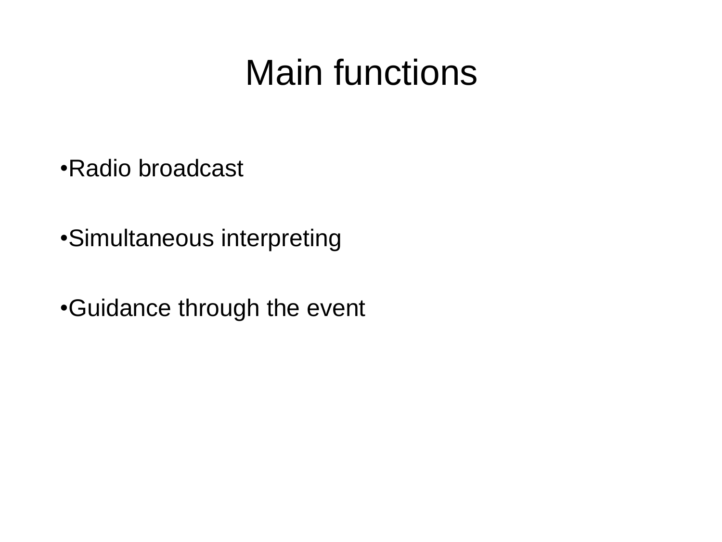### Main functions

•Radio broadcast

•Simultaneous interpreting

•Guidance through the event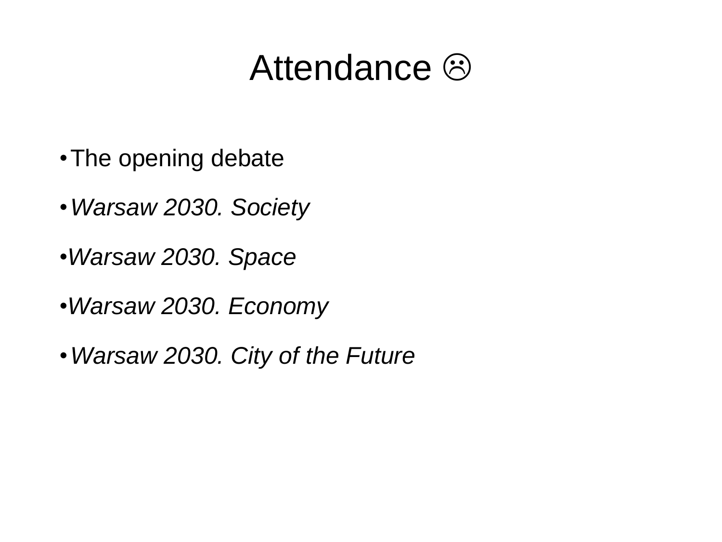#### Attendance  $\odot$

- •The opening debate
- •*Warsaw 2030. Society*
- •*Warsaw 2030. Space*
- •*Warsaw 2030. Economy*
- •*Warsaw 2030. City of the Future*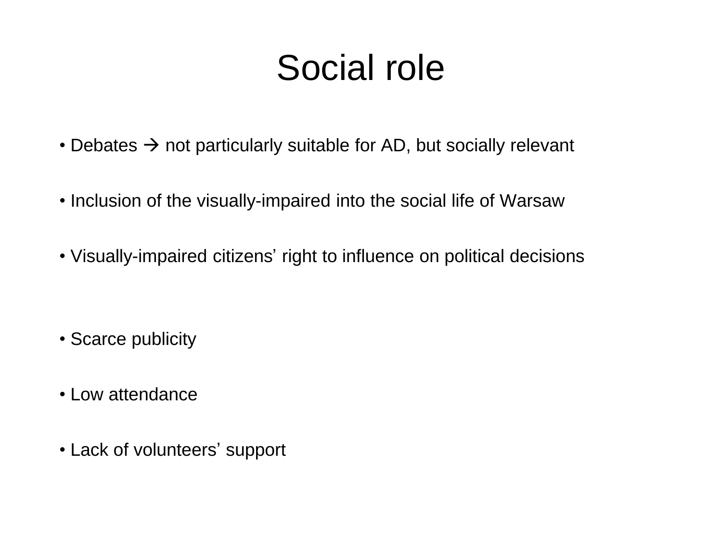# Social role

- Debates  $\rightarrow$  not particularly suitable for AD, but socially relevant
- Inclusion of the visually-impaired into the social life of Warsaw
- Visually-impaired citizens' right to influence on political decisions

- Scarce publicity
- Low attendance
- Lack of volunteers' support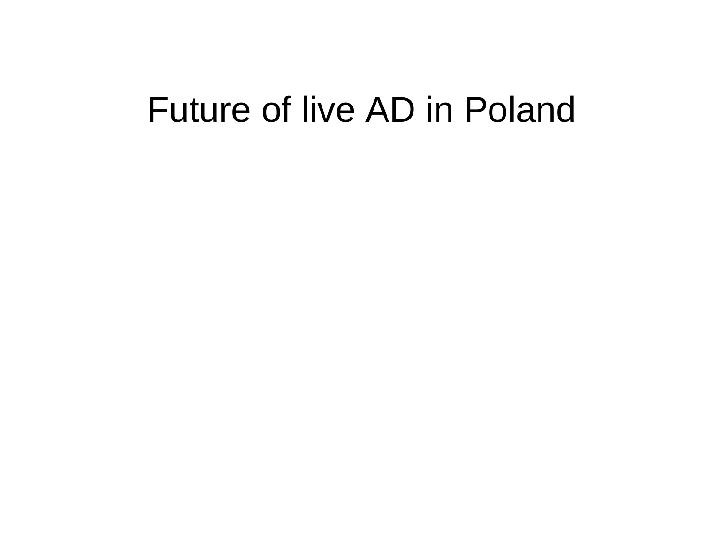#### Future of live AD in Poland